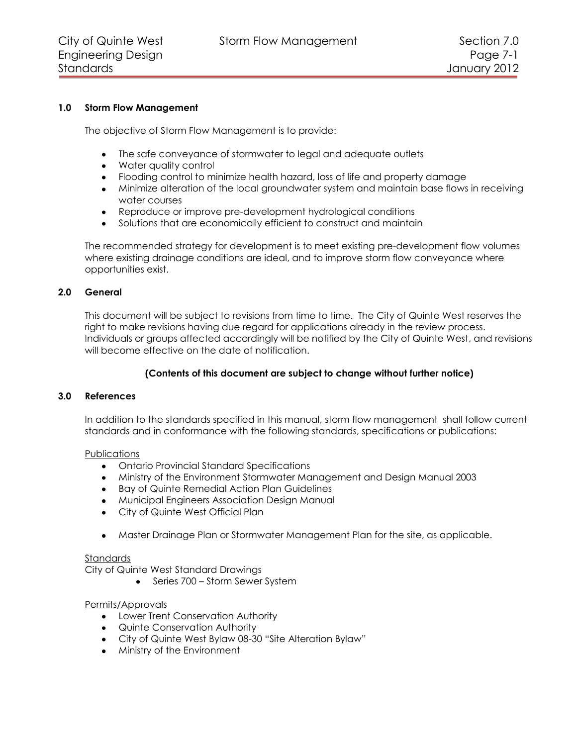City of Quinte West Storm Flow Management Section 7.0

# **1.0 Storm Flow Management**

The objective of Storm Flow Management is to provide:

- The safe conveyance of stormwater to legal and adequate outlets
- Water quality control
- Flooding control to minimize health hazard, loss of life and property damage
- Minimize alteration of the local groundwater system and maintain base flows in receiving water courses
- Reproduce or improve pre-development hydrological conditions
- $\bullet$ Solutions that are economically efficient to construct and maintain

The recommended strategy for development is to meet existing pre-development flow volumes where existing drainage conditions are ideal, and to improve storm flow conveyance where opportunities exist.

# **2.0 General**

This document will be subject to revisions from time to time. The City of Quinte West reserves the right to make revisions having due regard for applications already in the review process. Individuals or groups affected accordingly will be notified by the City of Quinte West, and revisions will become effective on the date of notification.

# **(Contents of this document are subject to change without further notice)**

# **3.0 References**

In addition to the standards specified in this manual, storm flow management shall follow current standards and in conformance with the following standards, specifications or publications:

#### Publications

- Ontario Provincial Standard Specifications
- Ministry of the Environment Stormwater Management and Design Manual 2003
- Bay of Quinte Remedial Action Plan Guidelines
- Municipal Engineers Association Design Manual
- City of Quinte West Official Plan
- Master Drainage Plan or Stormwater Management Plan for the site, as applicable.

#### Standards

City of Quinte West Standard Drawings

• Series 700 – Storm Sewer System

# Permits/Approvals

- Lower Trent Conservation Authority
- Quinte Conservation Authority
- City of Quinte West Bylaw 08-30 "Site Alteration Bylaw"
- Ministry of the Environment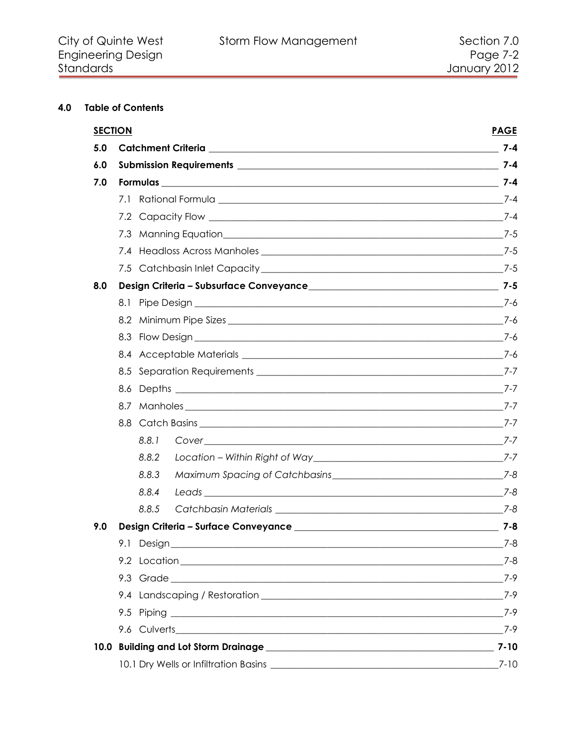# 4.0 Table of Contents

|     | <b>SECTION</b> |                      | <b>PAGE</b> |
|-----|----------------|----------------------|-------------|
| 5.0 |                |                      |             |
| 6.0 |                |                      |             |
| 7.0 |                |                      |             |
|     |                |                      |             |
|     |                |                      |             |
|     |                |                      |             |
|     |                |                      |             |
|     |                |                      |             |
| 8.0 |                |                      |             |
|     |                |                      |             |
|     |                |                      |             |
|     |                |                      |             |
|     |                |                      |             |
|     |                |                      |             |
|     |                |                      |             |
|     |                |                      |             |
|     |                | 8.8 Catch Basins 7-7 |             |
|     | 8.8.1          |                      |             |
|     | 8.8.2          |                      |             |
|     | 8.8.3          |                      |             |
|     | 8.8.4          |                      |             |
|     | 8.8.5          |                      |             |
| 9.0 |                |                      |             |
|     | 9.1 Design_    |                      | _7-8        |
|     |                |                      |             |
|     |                |                      | 7-9         |
|     |                |                      | 7-9         |
|     |                |                      | 7-9         |
|     |                |                      |             |
|     |                |                      | $7 - 10$    |
|     |                |                      | $7 - 10$    |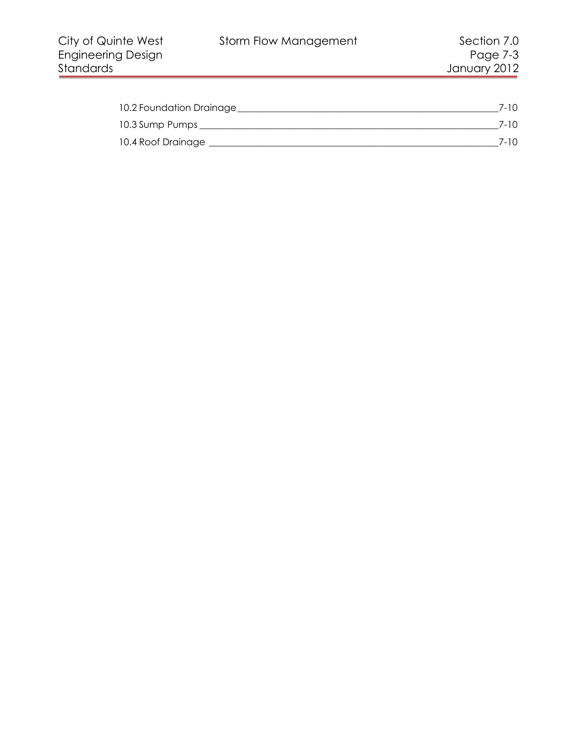| 10.2 Foundation Drainage | 7-10. |
|--------------------------|-------|
| 10.3 Sump Pumps          | 7-10  |
| 10.4 Roof Drainage       | 7-10  |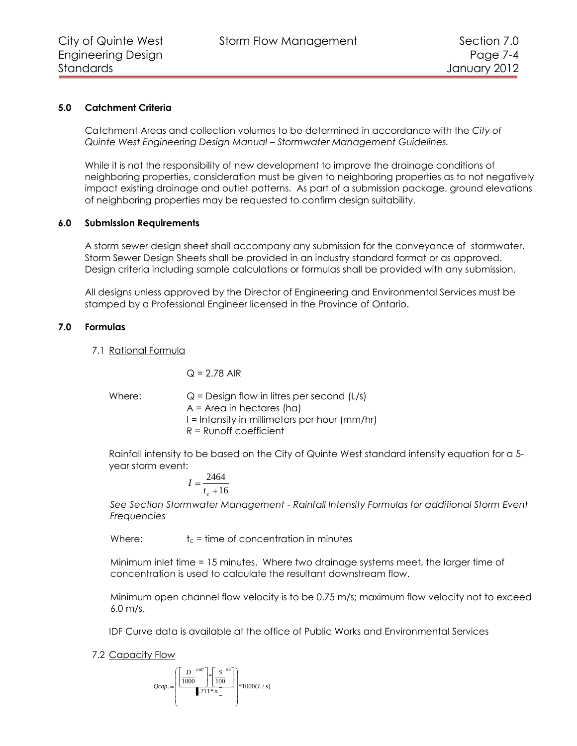# **5.0 Catchment Criteria**

Catchment Areas and collection volumes to be determined in accordance with the *City of Quinte West Engineering Design Manual – Stormwater Management Guidelines.*

While it is not the responsibility of new development to improve the drainage conditions of neighboring properties, consideration must be given to neighboring properties as to not negatively impact existing drainage and outlet patterns. As part of a submission package, ground elevations of neighboring properties may be requested to confirm design suitability.

# **6.0 Submission Requirements**

A storm sewer design sheet shall accompany any submission for the conveyance of stormwater. Storm Sewer Design Sheets shall be provided in an industry standard format or as approved. Design criteria including sample calculations or formulas shall be provided with any submission.

All designs unless approved by the Director of Engineering and Environmental Services must be stamped by a Professional Engineer licensed in the Province of Ontario.

# **7.0 Formulas**

7.1 Rational Formula

$$
Q = 2.78 \text{ AIR}
$$

Where:  $Q =$  Design flow in litres per second (L/s) A = Area in hectares (ha) I = Intensity in millimeters per hour (mm/hr) R = Runoff coefficient

Rainfall intensity to be based on the City of Quinte West standard intensity equation for a 5 year storm event:

$$
I = \frac{2464}{t_c + 16}
$$

*See Section Stormwater Management - Rainfall Intensity Formulas for additional Storm Event Frequencies*

Where:  $t_c$  = time of concentration in minutes

Minimum inlet time = 15 minutes. Where two drainage systems meet, the larger time of concentration is used to calculate the resultant downstream flow.

Minimum open channel flow velocity is to be 0.75 m/s; maximum flow velocity not to exceed 6.0 m/s.

IDF Curve data is available at the office of Public Works and Environmental Services

7.2 Capacity Flow

$$
Qcap. = \left(\frac{\left[\frac{D}{1000}\right]^2 \times \left[\frac{S}{100}\right]^3}{\left[211 \times n\right]} \right) \times 1000(L/s)
$$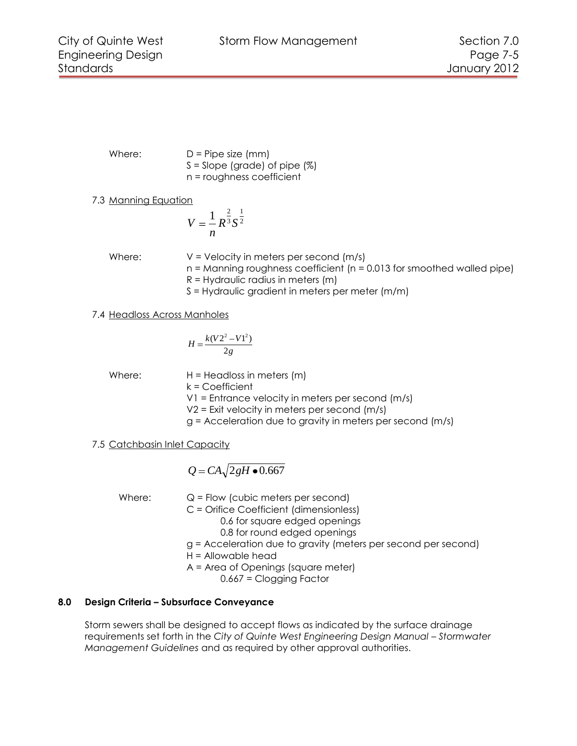Where:  $D =$  Pipe size (mm)  $S =$  Slope (grade) of pipe  $(\%)$ n = roughness coefficient

7.3 Manning Equation

$$
V=\frac{1}{n}R^{\frac{2}{3}}S^{\frac{1}{2}}
$$

Where:  $V = V$ elocity in meters per second  $(m/s)$ n = Manning roughness coefficient (n = 0.013 for smoothed walled pipe) R = Hydraulic radius in meters (m)

S = Hydraulic gradient in meters per meter (m/m)

7.4 Headloss Across Manholes

$$
H = \frac{k(V2^2 - V1^2)}{2g}
$$

Where:  $H = Headloss in meters (m)$ k = Coefficient

V1 = Entrance velocity in meters per second (m/s)

V2 = Exit velocity in meters per second (m/s)

g = Acceleration due to gravity in meters per second (m/s)

7.5 Catchbasin Inlet Capacity

$$
Q = CA\sqrt{2gH \bullet 0.667}
$$

Where:  $Q = Flow$  (cubic meters per second)

C = Orifice Coefficient (dimensionless)

0.6 for square edged openings

0.8 for round edged openings

- g = Acceleration due to gravity (meters per second per second)
- H = Allowable head
- A = Area of Openings (square meter)
	- 0.667 = Clogging Factor

# **8.0 Design Criteria – Subsurface Conveyance**

Storm sewers shall be designed to accept flows as indicated by the surface drainage requirements set forth in the *City of Quinte West Engineering Design Manual – Stormwater Management Guidelines* and as required by other approval authorities.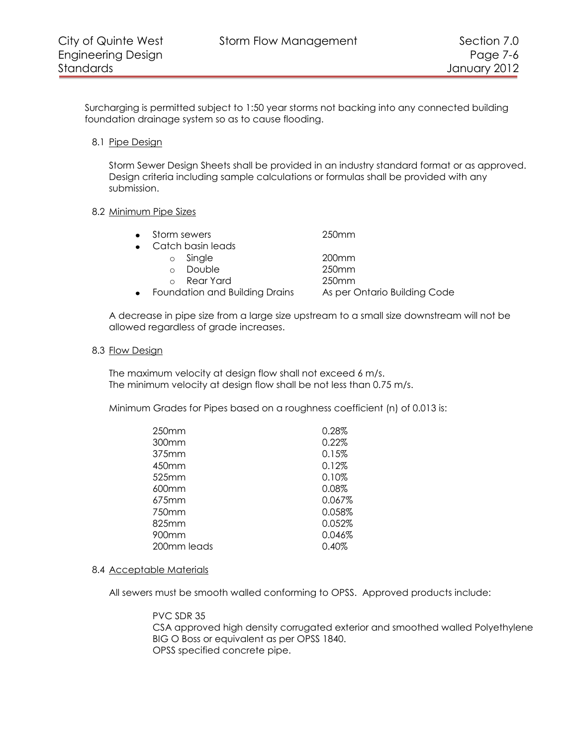Surcharging is permitted subject to 1:50 year storms not backing into any connected building foundation drainage system so as to cause flooding.

8.1 Pipe Design

Storm Sewer Design Sheets shall be provided in an industry standard format or as approved. Design criteria including sample calculations or formulas shall be provided with any submission.

## 8.2 Minimum Pipe Sizes

|           | • Storm sewers                 | 250 <sub>mm</sub>            |
|-----------|--------------------------------|------------------------------|
|           | • Catch basin leads            |                              |
|           | Single<br>$\circ$              | 200 <sub>mm</sub>            |
|           | Double<br>$\cap$               | 250 <sub>mm</sub>            |
|           | Rear Yard<br>$\cap$            | 250 <sub>mm</sub>            |
| $\bullet$ | Foundation and Building Drains | As per Ontario Building Code |

A decrease in pipe size from a large size upstream to a small size downstream will not be allowed regardless of grade increases.

## 8.3 Flow Design

The maximum velocity at design flow shall not exceed 6 m/s. The minimum velocity at design flow shall be not less than 0.75 m/s.

Minimum Grades for Pipes based on a roughness coefficient (n) of 0.013 is:

| 250mm       | 0.28%  |
|-------------|--------|
| 300mm       | 0.22%  |
| 375mm       | 0.15%  |
| 450mm       | 0.12%  |
| 525mm       | 0.10%  |
| 600mm       | 0.08%  |
| 675mm       | 0.067% |
| 750mm       | 0.058% |
| 825mm       | 0.052% |
| 900mm       | 0.046% |
| 200mm leads | 0.40%  |
|             |        |

# 8.4 Acceptable Materials

All sewers must be smooth walled conforming to OPSS. Approved products include:

PVC SDR 35 CSA approved high density corrugated exterior and smoothed walled Polyethylene BIG O Boss or equivalent as per OPSS 1840. OPSS specified concrete pipe.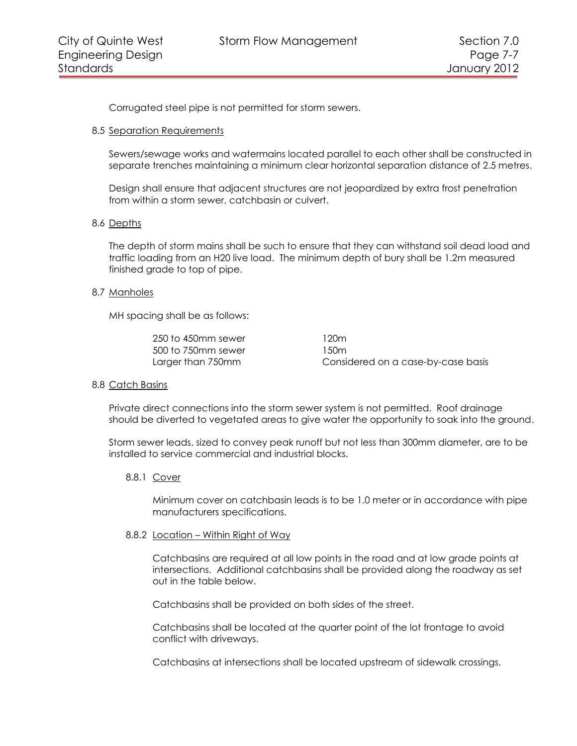Corrugated steel pipe is not permitted for storm sewers.

# 8.5 Separation Requirements

Sewers/sewage works and watermains located parallel to each other shall be constructed in separate trenches maintaining a minimum clear horizontal separation distance of 2.5 metres.

Design shall ensure that adjacent structures are not jeopardized by extra frost penetration from within a storm sewer, catchbasin or culvert.

# 8.6 Depths

The depth of storm mains shall be such to ensure that they can withstand soil dead load and traffic loading from an H20 live load. The minimum depth of bury shall be 1.2m measured finished grade to top of pipe.

## 8.7 Manholes

MH spacing shall be as follows:

| 250 to 450mm sewer | 120m                               |
|--------------------|------------------------------------|
| 500 to 750mm sewer | 1.50m                              |
| Larger than 750mm  | Considered on a case-by-case basis |

#### 8.8 Catch Basins

Private direct connections into the storm sewer system is not permitted. Roof drainage should be diverted to vegetated areas to give water the opportunity to soak into the ground.

Storm sewer leads, sized to convey peak runoff but not less than 300mm diameter, are to be installed to service commercial and industrial blocks.

#### 8.8.1 Cover

Minimum cover on catchbasin leads is to be 1.0 meter or in accordance with pipe manufacturers specifications.

#### 8.8.2 Location – Within Right of Way

Catchbasins are required at all low points in the road and at low grade points at intersections. Additional catchbasins shall be provided along the roadway as set out in the table below.

Catchbasins shall be provided on both sides of the street.

Catchbasins shall be located at the quarter point of the lot frontage to avoid conflict with driveways.

Catchbasins at intersections shall be located upstream of sidewalk crossings.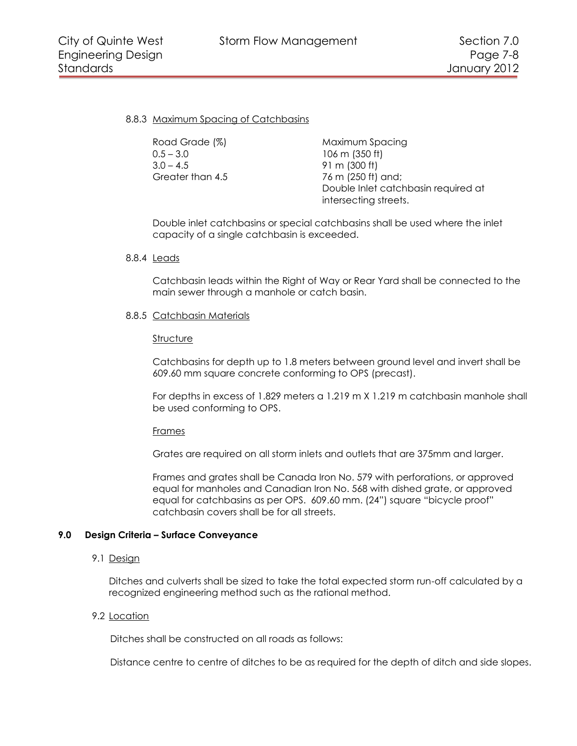## 8.8.3 Maximum Spacing of Catchbasins

| Road Grade (%)   | Maximum Spo     |
|------------------|-----------------|
| $0.5 - 3.0$      | 106 m (350 ft)  |
| $3.0 - 4.5$      | 91 m $(300 ft)$ |
| Greater than 4.5 | 76 m (250 ft) o |
|                  | Double Inlet of |

n Spacing  $0$  ft) and; nlet catchbasin required at intersecting streets.

Double inlet catchbasins or special catchbasins shall be used where the inlet capacity of a single catchbasin is exceeded.

#### 8.8.4 Leads

Catchbasin leads within the Right of Way or Rear Yard shall be connected to the main sewer through a manhole or catch basin.

## 8.8.5 Catchbasin Materials

#### **Structure**

Catchbasins for depth up to 1.8 meters between ground level and invert shall be 609.60 mm square concrete conforming to OPS (precast).

For depths in excess of 1.829 meters a 1.219 m X 1.219 m catchbasin manhole shall be used conforming to OPS.

#### Frames

Grates are required on all storm inlets and outlets that are 375mm and larger.

Frames and grates shall be Canada Iron No. 579 with perforations, or approved equal for manholes and Canadian Iron No. 568 with dished grate, or approved equal for catchbasins as per OPS. 609.60 mm. (24") square "bicycle proof" catchbasin covers shall be for all streets.

# **9.0 Design Criteria – Surface Conveyance**

# 9.1 Design

Ditches and culverts shall be sized to take the total expected storm run-off calculated by a recognized engineering method such as the rational method.

#### 9.2 Location

Ditches shall be constructed on all roads as follows:

Distance centre to centre of ditches to be as required for the depth of ditch and side slopes.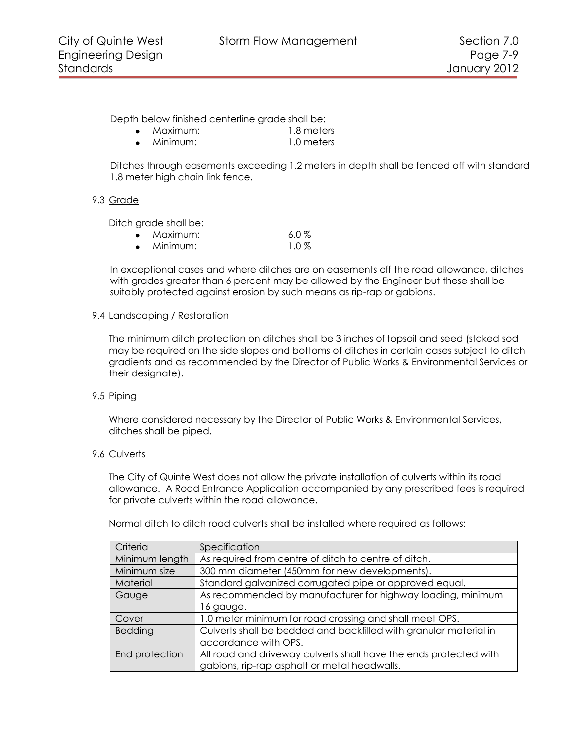Depth below finished centerline grade shall be:

- Maximum: 1.8 meters
- Minimum: 1.0 meters  $\bullet$

Ditches through easements exceeding 1.2 meters in depth shall be fenced off with standard 1.8 meter high chain link fence.

# 9.3 Grade

Ditch grade shall be:

| Maximum: | $6.0\%$ |
|----------|---------|
| Minimum: | $1.0\%$ |

In exceptional cases and where ditches are on easements off the road allowance, ditches with grades greater than 6 percent may be allowed by the Engineer but these shall be suitably protected against erosion by such means as rip-rap or gabions.

# 9.4 Landscaping / Restoration

The minimum ditch protection on ditches shall be 3 inches of topsoil and seed (staked sod may be required on the side slopes and bottoms of ditches in certain cases subject to ditch gradients and as recommended by the Director of Public Works & Environmental Services or their designate).

# 9.5 Piping

Where considered necessary by the Director of Public Works & Environmental Services, ditches shall be piped.

# 9.6 Culverts

The City of Quinte West does not allow the private installation of culverts within its road allowance. A Road Entrance Application accompanied by any prescribed fees is required for private culverts within the road allowance.

Normal ditch to ditch road culverts shall be installed where required as follows:

| Criteria       | Specification                                                     |
|----------------|-------------------------------------------------------------------|
| Minimum length | As required from centre of ditch to centre of ditch.              |
| Minimum size   | 300 mm diameter (450mm for new developments).                     |
| Material       | Standard galvanized corrugated pipe or approved equal.            |
| Gauge          | As recommended by manufacturer for highway loading, minimum       |
|                | 16 gauge.                                                         |
| Cover          | 1.0 meter minimum for road crossing and shall meet OPS.           |
| Bedding        | Culverts shall be bedded and backfilled with granular material in |
|                | accordance with OPS.                                              |
| End protection | All road and driveway culverts shall have the ends protected with |
|                | gabions, rip-rap asphalt or metal headwalls.                      |